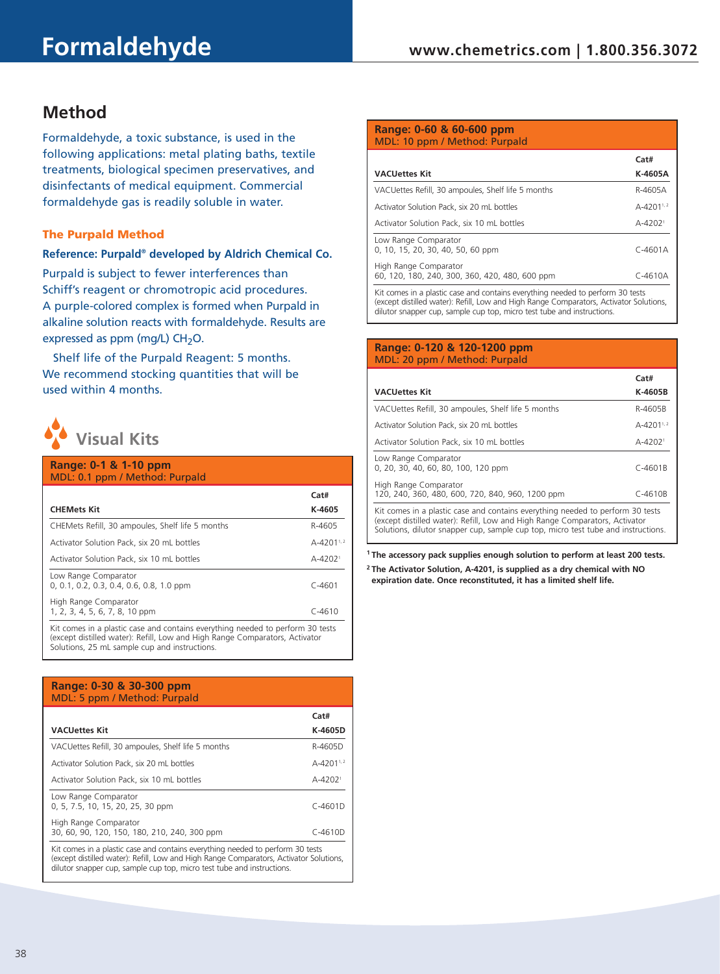# **Method**

Formaldehyde, a toxic substance, is used in the following applications: metal plating baths, textile treatments, biological specimen preservatives, and disinfectants of medical equipment. Commercial formaldehyde gas is readily soluble in water.

## The Purpald Method

## **Reference: Purpald® developed by Aldrich Chemical Co.**

Purpald is subject to fewer interferences than Schiff's reagent or chromotropic acid procedures. A purple-colored complex is formed when Purpald in alkaline solution reacts with formaldehyde. Results are expressed as ppm (mg/L)  $CH<sub>2</sub>O$ .

Shelf life of the Purpald Reagent: 5 months. We recommend stocking quantities that will be used within 4 months.



#### **Range: 0-1 & 1-10 ppm** MDL: 0.1 ppm / Method: Purpald

| <b>CHEMets Kit</b>                                                              | Cat#<br>K-4605          |
|---------------------------------------------------------------------------------|-------------------------|
| CHEMets Refill, 30 ampoules, Shelf life 5 months                                | R-4605                  |
| Activator Solution Pack, six 20 mL bottles                                      | A-4201 <sup>1,2</sup>   |
| Activator Solution Pack, six 10 mL bottles                                      | $A - 4202$ <sup>1</sup> |
| Low Range Comparator<br>$0, 0.1, 0.2, 0.3, 0.4, 0.6, 0.8, 1.0$ ppm              | $C - 4601$              |
| High Range Comparator<br>1, 2, 3, 4, 5, 6, 7, 8, 10 ppm                         | $C - 4610$              |
| Kit comes in a plastic case and contains oversthing peopled to perform 20 tests |                         |

Kit comes in a plastic case and contains everything needed to perform 30 tests (except distilled water): Refill, Low and High Range Comparators, Activator Solutions, 25 mL sample cup and instructions.

| Range: 0-30 & 30-300 ppm<br>MDL: 5 ppm / Method: Purpald                       |                         |
|--------------------------------------------------------------------------------|-------------------------|
|                                                                                | Cat#                    |
| <b>VACUettes Kit</b>                                                           | K-4605D                 |
| VACUettes Refill, 30 ampoules, Shelf life 5 months                             | R-4605D                 |
| Activator Solution Pack, six 20 mL bottles                                     | $A-4201^{1,2}$          |
| Activator Solution Pack, six 10 mL bottles                                     | $A - 4202$ <sup>1</sup> |
| Low Range Comparator<br>0, 5, 7.5, 10, 15, 20, 25, 30 ppm                      | $C-4601D$               |
| High Range Comparator<br>30, 60, 90, 120, 150, 180, 210, 240, 300 ppm          | $C-4610D$               |
| Kit comes in a plastic case and contains everything needed to perform 30 tests |                         |

(except distilled water): Refill, Low and High Range Comparators, Activator Solutions, dilutor snapper cup, sample cup top, micro test tube and instructions.

#### **Range: 0-60 & 60-600 ppm** MDL: 10 ppm / Method: Purpald

|                                                                                 | Cat#                    |
|---------------------------------------------------------------------------------|-------------------------|
| <b>VACUettes Kit</b>                                                            | K-4605A                 |
| VACUettes Refill, 30 ampoules, Shelf life 5 months                              | R-4605A                 |
| Activator Solution Pack, six 20 mL bottles                                      | $A - 4201^{1,2}$        |
| Activator Solution Pack, six 10 mL bottles                                      | $A - 4202$ <sup>1</sup> |
| Low Range Comparator<br>0, 10, 15, 20, 30, 40, 50, 60 ppm                       | $C-4601A$               |
| High Range Comparator<br>60, 120, 180, 240, 300, 360, 420, 480, 600 ppm         | $C-4610A$               |
| Kit comes in a plastic case and contains even thing peopled to perform 20 tests |                         |

Kit comes in a plastic case and contains everything needed to perform 30 tests (except distilled water): Refill, Low and High Range Comparators, Activator Solutions, dilutor snapper cup, sample cup top, micro test tube and instructions.

#### **Range: 0-120 & 120-1200 ppm** MDL: 20 ppm / Method: Purpald

|                                                                                                                                                                                                                                                    | Cat#                    |
|----------------------------------------------------------------------------------------------------------------------------------------------------------------------------------------------------------------------------------------------------|-------------------------|
| <b>VACUettes Kit</b>                                                                                                                                                                                                                               | K-4605B                 |
| VACUettes Refill, 30 ampoules, Shelf life 5 months                                                                                                                                                                                                 | R-4605B                 |
| Activator Solution Pack, six 20 mL bottles                                                                                                                                                                                                         | $A-4201^{1,2}$          |
| Activator Solution Pack, six 10 mL bottles                                                                                                                                                                                                         | $A - 4202$ <sup>1</sup> |
| Low Range Comparator<br>0, 20, 30, 40, 60, 80, 100, 120 ppm                                                                                                                                                                                        | $C - 4601B$             |
| High Range Comparator<br>120, 240, 360, 480, 600, 720, 840, 960, 1200 ppm                                                                                                                                                                          | $C-4610B$               |
| Kit comes in a plastic case and contains everything needed to perform 30 tests<br>(except distilled water): Refill, Low and High Range Comparators, Activator<br>Solutions, dilutor snapper cup, sample cup top, micro test tube and instructions. |                         |

**1 The accessory pack supplies enough solution to perform at least 200 tests.**

**<sup>2</sup> The Activator Solution, A-4201, is supplied as a dry chemical with NO expiration date. Once reconstituted, it has a limited shelf life.**